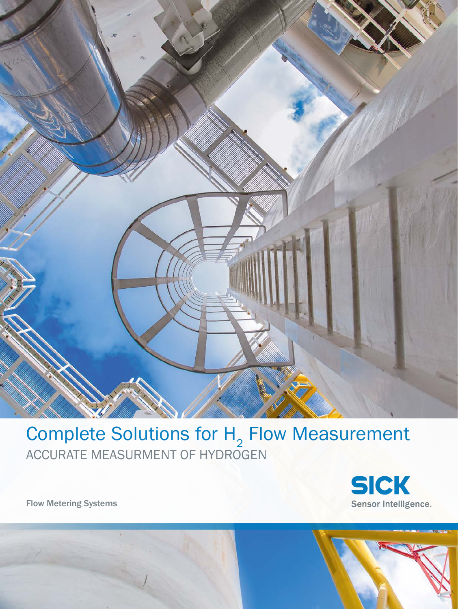

# Complete Solutions for  $H<sub>2</sub>$  Flow Measurement ACCURATE MEASURMENT OF HYDROGEN



Flow Metering Systems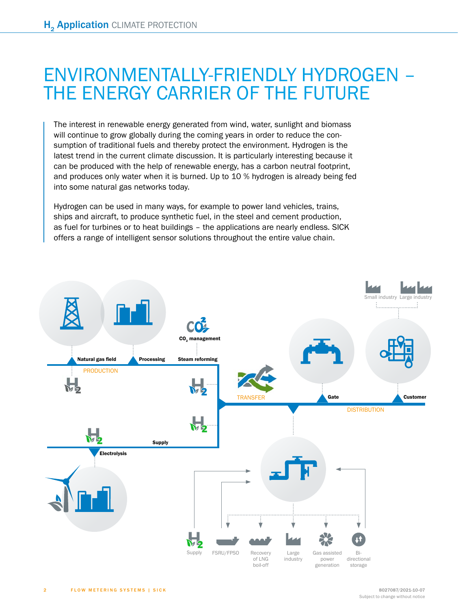# ENVIRONMENTALLY-FRIENDLY HYDROGEN – THE ENERGY CARRIER OF THE FUTURE

The interest in renewable energy generated from wind, water, sunlight and biomass will continue to grow globally during the coming years in order to reduce the consumption of traditional fuels and thereby protect the environment. Hydrogen is the latest trend in the current climate discussion. It is particularly interesting because it can be produced with the help of renewable energy, has a carbon neutral footprint, and produces only water when it is burned. Up to 10 % hydrogen is already being fed into some natural gas networks today.

Hydrogen can be used in many ways, for example to power land vehicles, trains, ships and aircraft, to produce synthetic fuel, in the steel and cement production, as fuel for turbines or to heat buildings – the applications are nearly endless. SICK offers a range of intelligent sensor solutions throughout the entire value chain.

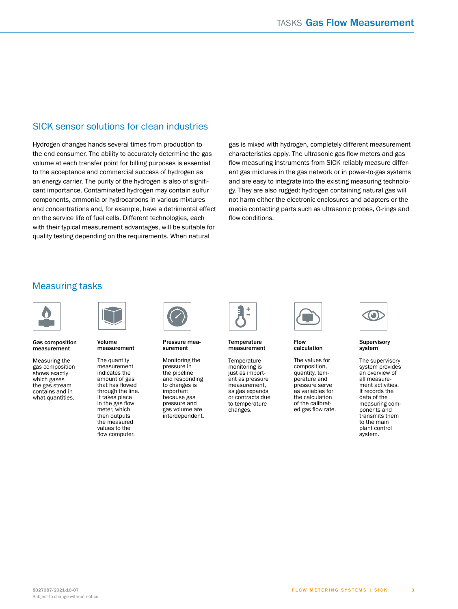### SICK sensor solutions for clean industries

Hydrogen changes hands several times from production to the end consumer. The ability to accurately determine the gas volume at each transfer point for billing purposes is essential to the acceptance and commercial success of hydrogen as an energy carrier. The purity of the hydrogen is also of significant importance. Contaminated hydrogen may contain sulfur components, ammonia or hydrocarbons in various mixtures and concentrations and, for example, have a detrimental effect on the service life of fuel cells. Different technologies, each with their typical measurement advantages, will be suitable for quality testing depending on the requirements. When natural

gas is mixed with hydrogen, completely different measurement characteristics apply. The ultrasonic gas flow meters and gas flow measuring instruments from SICK reliably measure different gas mixtures in the gas network or in power-to-gas systems and are easy to integrate into the existing measuring technology. They are also rugged: hydrogen containing natural gas will not harm either the electronic enclosures and adapters or the media contacting parts such as ultrasonic probes, O-rings and flow conditions.

### Measuring tasks



#### Gas composition measurement

Measuring the gas composition shows exactly which gases the gas stream contains and in what quantities.



Volume measurement

The quantity measurement indicates the amount of gas that has flowed through the line. It takes place in the gas flow meter, which then outputs the measured values to the flow computer.



Pressure measurement

Monitoring the pressure in the pipeline and responding to changes is important because gas pressure and gas volume are interdependent.



Temperature measurement

**Temperature** monitoring is just as important as pressure measurement, as gas expands or contracts due to temperature changes.



Flow calculation

The values for composition, quantity, temperature and pressure serve as variables for the calculation of the calibrated gas flow rate.



Supervisory system

The supervisory system provides an overview of all measurement activities. It records the data of the measuring components and transmits them to the main plant control system.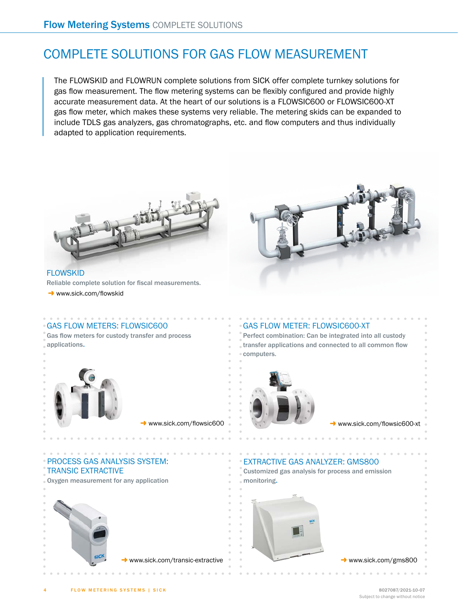### COMPLETE SOLUTIONS FOR GAS FLOW MEASUREMENT

The FLOWSKID and FLOWRUN complete solutions from SICK offer complete turnkey solutions for gas flow measurement. The flow metering systems can be flexibly configured and provide highly accurate measurement data. At the heart of our solutions is a FLOWSIC600 or FLOWSIC600-XT gas flow meter, which makes these systems very reliable. The metering skids can be expanded to include TDLS gas analyzers, gas chromatographs, etc. and flow computers and thus individually adapted to application requirements.



**FLOWSKID** Reliable complete solution for fiscal measurements.

 $\rightarrow$  www.sick.com/flowskid



GAS FLOW METERS: FLOWSIC600 Gas flow meters for custody transfer and process applications.

g www.sick.com/flowsic600

### GAS FLOW METER: FLOWSIC600-XT

Perfect combination: Can be integrated into all custody transfer applications and connected to all common flow computers.



www.sick.com/flowsic600-xt

#### PROCESS GAS ANALYSIS SYSTEM: TRANSIC EXTRACTIVE

Oxygen measurement for any application





#### EXTRACTIVE GAS ANALYZER: GMS800

Customized gas analysis for process and emission monitoring.

. . . . . . . . . . . .



 $\rightarrow$  www.sick.com/gms800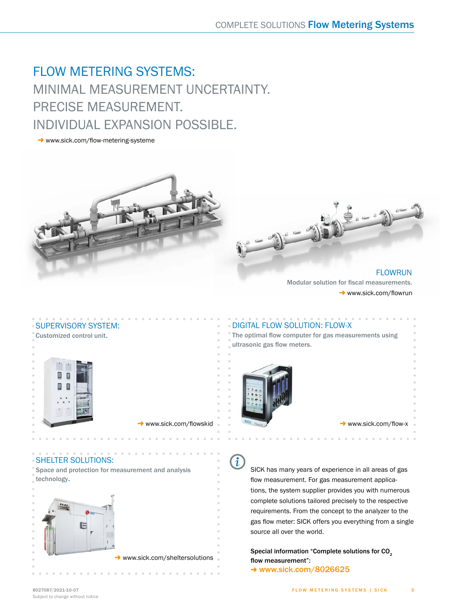## FLOW METERING SYSTEMS: MINIMAL MEASUREMENT UNCERTAINTY. PRECISE MEASUREMENT. INDIVIDUAL EXPANSION POSSIBLE.

 $\rightarrow$  www.sick.com/flow-metering-systeme



**FLOWRUN** Modular solution for fiscal measurements.  $\rightarrow$  www.sick.com/flowrun



www.sick.com/flowskid

SHELTER SOLUTIONS: Space and protection for measurement and analysis technology.



 $\rightarrow$  www.sick.com/sheltersolutions

### DIGITAL FLOW SOLUTION: FLOW-X

The optimal flow computer for gas measurements using ultrasonic gas flow meters.



www.sick.com/flow-x

 $\overline{\mathfrak{l}}$ 

SICK has many years of experience in all areas of gas flow measurement. For gas measurement applications, the system supplier provides you with numerous complete solutions tailored precisely to the respective requirements. From the concept to the analyzer to the gas flow meter: SICK offers you everything from a single source all over the world.

Special information "Complete solutions for CO<sub>2</sub> flow measurement":  $\rightarrow$  www.sick.com/8026625

5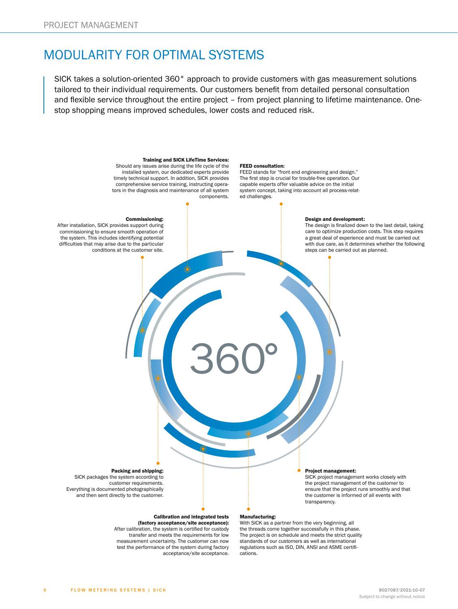### MODULARITY FOR OPTIMAL SYSTEMS

SICK takes a solution-oriented 360° approach to provide customers with gas measurement solutions tailored to their individual requirements. Our customers benefit from detailed personal consultation and flexible service throughout the entire project – from project planning to lifetime maintenance. Onestop shopping means improved schedules, lower costs and reduced risk.

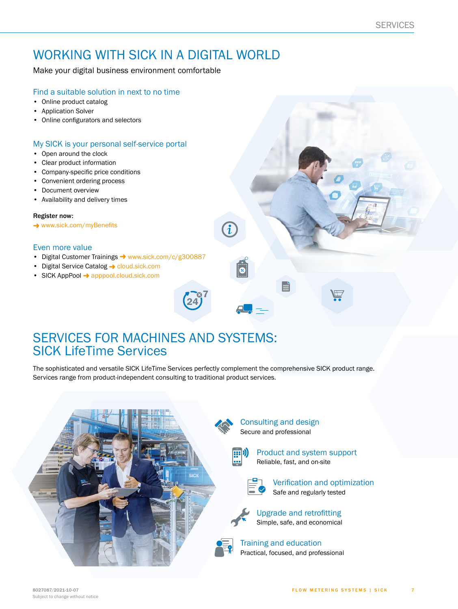### WORKING WITH SICK IN A DIGITAL WORLD

Make your digital business environment comfortable

#### Find a suitable solution in next to no time

- Online product catalog
- Application Solver
- Online configurators and selectors

### My SICK is your personal self-service portal

- Open around the clock
- Clear product information
- Company-specific price conditions
- Convenient ordering process
- Document overview
- Availability and delivery times

#### Register now:

→ [www.sick.com/myBenefits](http://www.sick.com/myBenefits)

#### Even more value

- Digital Customer Trainings  $\rightarrow$  [www.sick.com/c/g300887](http://www.sick.com/c/g300887)
- Digital Service Catalog  $\rightarrow$  [cloud.sick.com](http://cloud.sick.com)
- SICK AppPool  $\rightarrow$  [apppool.cloud.sick.com](http://apppool.cloud.sick.com)

### SERVICES FOR MACHINES AND SYSTEMS: SICK LifeTime Services

The sophisticated and versatile SICK LifeTime Services perfectly complement the comprehensive SICK product range. Services range from product-independent consulting to traditional product services.

**24 7**

![](_page_6_Picture_22.jpeg)